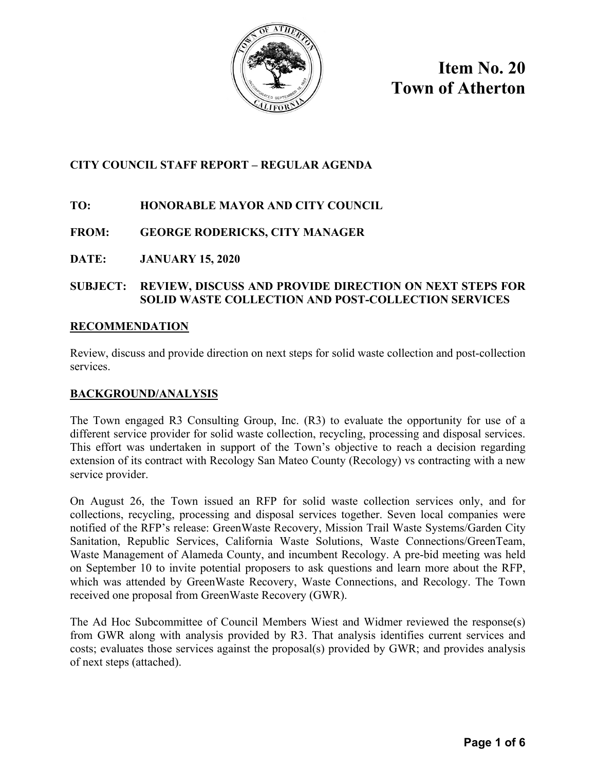

**Item No. 20 Town of Atherton** 

## **CITY COUNCIL STAFF REPORT – REGULAR AGENDA**

## **TO: HONORABLE MAYOR AND CITY COUNCIL**

## **FROM: GEORGE RODERICKS, CITY MANAGER**

**DATE: JANUARY 15, 2020** 

### **SUBJECT: REVIEW, DISCUSS AND PROVIDE DIRECTION ON NEXT STEPS FOR SOLID WASTE COLLECTION AND POST-COLLECTION SERVICES**

### **RECOMMENDATION**

Review, discuss and provide direction on next steps for solid waste collection and post-collection services.

## **BACKGROUND/ANALYSIS**

The Town engaged R3 Consulting Group, Inc. (R3) to evaluate the opportunity for use of a different service provider for solid waste collection, recycling, processing and disposal services. This effort was undertaken in support of the Town's objective to reach a decision regarding extension of its contract with Recology San Mateo County (Recology) vs contracting with a new service provider.

On August 26, the Town issued an RFP for solid waste collection services only, and for collections, recycling, processing and disposal services together. Seven local companies were notified of the RFP's release: GreenWaste Recovery, Mission Trail Waste Systems/Garden City Sanitation, Republic Services, California Waste Solutions, Waste Connections/GreenTeam, Waste Management of Alameda County, and incumbent Recology. A pre-bid meeting was held on September 10 to invite potential proposers to ask questions and learn more about the RFP, which was attended by GreenWaste Recovery, Waste Connections, and Recology. The Town received one proposal from GreenWaste Recovery (GWR).

The Ad Hoc Subcommittee of Council Members Wiest and Widmer reviewed the response(s) from GWR along with analysis provided by R3. That analysis identifies current services and costs; evaluates those services against the proposal(s) provided by GWR; and provides analysis of next steps (attached).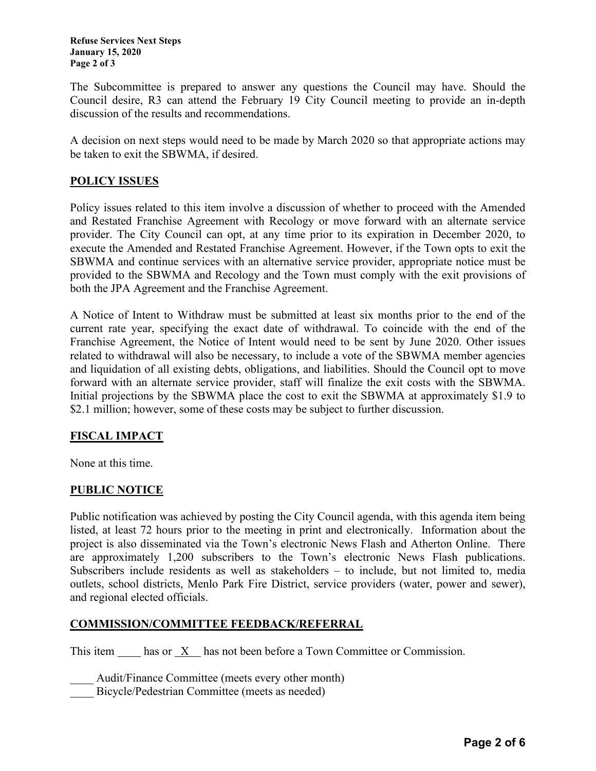**Refuse Services Next Steps January 15, 2020 Page 2 of 3** 

The Subcommittee is prepared to answer any questions the Council may have. Should the Council desire, R3 can attend the February 19 City Council meeting to provide an in-depth discussion of the results and recommendations.

A decision on next steps would need to be made by March 2020 so that appropriate actions may be taken to exit the SBWMA, if desired.

#### **POLICY ISSUES**

Policy issues related to this item involve a discussion of whether to proceed with the Amended and Restated Franchise Agreement with Recology or move forward with an alternate service provider. The City Council can opt, at any time prior to its expiration in December 2020, to execute the Amended and Restated Franchise Agreement. However, if the Town opts to exit the SBWMA and continue services with an alternative service provider, appropriate notice must be provided to the SBWMA and Recology and the Town must comply with the exit provisions of both the JPA Agreement and the Franchise Agreement.

A Notice of Intent to Withdraw must be submitted at least six months prior to the end of the current rate year, specifying the exact date of withdrawal. To coincide with the end of the Franchise Agreement, the Notice of Intent would need to be sent by June 2020. Other issues related to withdrawal will also be necessary, to include a vote of the SBWMA member agencies and liquidation of all existing debts, obligations, and liabilities. Should the Council opt to move forward with an alternate service provider, staff will finalize the exit costs with the SBWMA. Initial projections by the SBWMA place the cost to exit the SBWMA at approximately \$1.9 to \$2.1 million; however, some of these costs may be subject to further discussion.

### **FISCAL IMPACT**

None at this time.

### **PUBLIC NOTICE**

Public notification was achieved by posting the City Council agenda, with this agenda item being listed, at least 72 hours prior to the meeting in print and electronically. Information about the project is also disseminated via the Town's electronic News Flash and Atherton Online. There are approximately 1,200 subscribers to the Town's electronic News Flash publications. Subscribers include residents as well as stakeholders – to include, but not limited to, media outlets, school districts, Menlo Park Fire District, service providers (water, power and sewer), and regional elected officials.

#### **COMMISSION/COMMITTEE FEEDBACK/REFERRAL**

This item  $\frac{X}{x}$  has not been before a Town Committee or Commission.

Audit/Finance Committee (meets every other month)

Bicycle/Pedestrian Committee (meets as needed)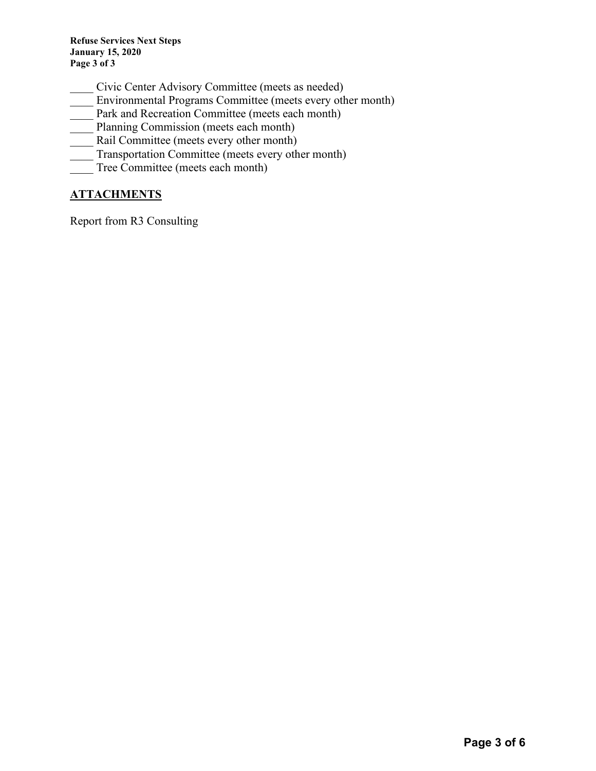**Refuse Services Next Steps January 15, 2020 Page 3 of 3** 

- \_\_\_\_ Civic Center Advisory Committee (meets as needed)
- \_\_\_\_ Environmental Programs Committee (meets every other month)
- Park and Recreation Committee (meets each month)
- **Planning Commission (meets each month)**
- Rail Committee (meets every other month)
- Transportation Committee (meets every other month)
- Tree Committee (meets each month)

## **ATTACHMENTS**

Report from R3 Consulting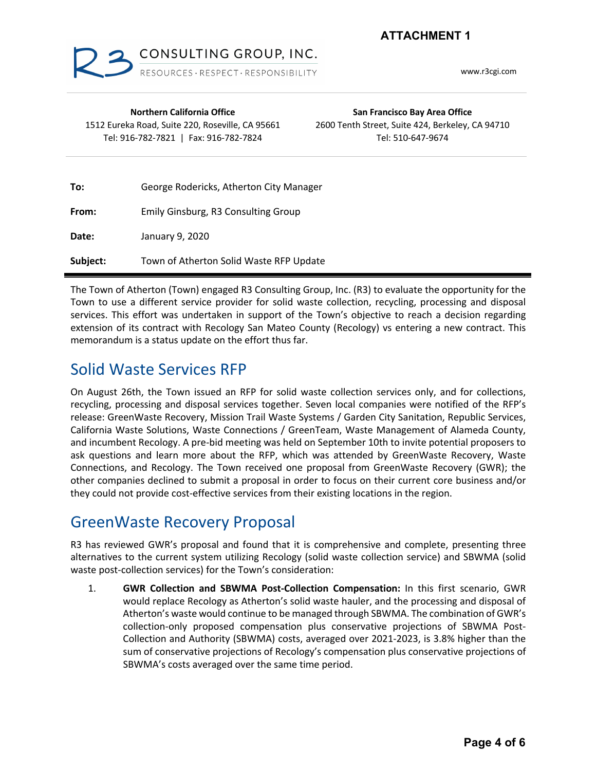**ATTACHMENT 1**



www.r3cgi.com

| <b>Northern California Office</b><br>1512 Eureka Road, Suite 220, Roseville, CA 95661<br>Tel: 916-782-7821   Fax: 916-782-7824 |                                         | San Francisco Bay Area Office<br>2600 Tenth Street, Suite 424, Berkeley, CA 94710<br>Tel: 510-647-9674 |
|--------------------------------------------------------------------------------------------------------------------------------|-----------------------------------------|--------------------------------------------------------------------------------------------------------|
| To:                                                                                                                            | George Rodericks, Atherton City Manager |                                                                                                        |
| From:                                                                                                                          | Emily Ginsburg, R3 Consulting Group     |                                                                                                        |
| Date:                                                                                                                          | January 9, 2020                         |                                                                                                        |
| Subject:                                                                                                                       | Town of Atherton Solid Waste RFP Update |                                                                                                        |

The Town of Atherton (Town) engaged R3 Consulting Group, Inc. (R3) to evaluate the opportunity for the Town to use a different service provider for solid waste collection, recycling, processing and disposal services. This effort was undertaken in support of the Town's objective to reach a decision regarding extension of its contract with Recology San Mateo County (Recology) vs entering a new contract. This memorandum is a status update on the effort thus far.

## Solid Waste Services RFP

On August 26th, the Town issued an RFP for solid waste collection services only, and for collections, recycling, processing and disposal services together. Seven local companies were notified of the RFP's release: GreenWaste Recovery, Mission Trail Waste Systems / Garden City Sanitation, Republic Services, California Waste Solutions, Waste Connections / GreenTeam, Waste Management of Alameda County, and incumbent Recology. A pre-bid meeting was held on September 10th to invite potential proposers to ask questions and learn more about the RFP, which was attended by GreenWaste Recovery, Waste Connections, and Recology. The Town received one proposal from GreenWaste Recovery (GWR); the other companies declined to submit a proposal in order to focus on their current core business and/or they could not provide cost-effective services from their existing locations in the region.

# GreenWaste Recovery Proposal

R3 has reviewed GWR's proposal and found that it is comprehensive and complete, presenting three alternatives to the current system utilizing Recology (solid waste collection service) and SBWMA (solid waste post-collection services) for the Town's consideration:

1. **GWR Collection and SBWMA Post-Collection Compensation:** In this first scenario, GWR would replace Recology as Atherton's solid waste hauler, and the processing and disposal of Atherton's waste would continue to be managed through SBWMA. The combination of GWR's collection-only proposed compensation plus conservative projections of SBWMA Post-Collection and Authority (SBWMA) costs, averaged over 2021-2023, is 3.8% higher than the sum of conservative projections of Recology's compensation plus conservative projections of SBWMA's costs averaged over the same time period.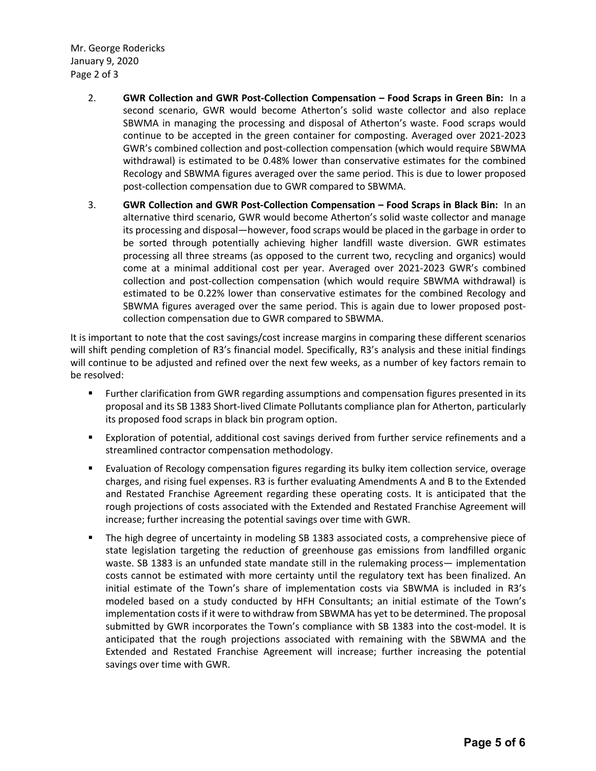Mr. George Rodericks January 9, 2020 Page 2 of 3

- 2. **GWR Collection and GWR Post-Collection Compensation – Food Scraps in Green Bin:** In a second scenario, GWR would become Atherton's solid waste collector and also replace SBWMA in managing the processing and disposal of Atherton's waste. Food scraps would continue to be accepted in the green container for composting. Averaged over 2021-2023 GWR's combined collection and post-collection compensation (which would require SBWMA withdrawal) is estimated to be 0.48% lower than conservative estimates for the combined Recology and SBWMA figures averaged over the same period. This is due to lower proposed post-collection compensation due to GWR compared to SBWMA.
- 3. **GWR Collection and GWR Post-Collection Compensation – Food Scraps in Black Bin:** In an alternative third scenario, GWR would become Atherton's solid waste collector and manage its processing and disposal—however, food scraps would be placed in the garbage in order to be sorted through potentially achieving higher landfill waste diversion. GWR estimates processing all three streams (as opposed to the current two, recycling and organics) would come at a minimal additional cost per year. Averaged over 2021-2023 GWR's combined collection and post-collection compensation (which would require SBWMA withdrawal) is estimated to be 0.22% lower than conservative estimates for the combined Recology and SBWMA figures averaged over the same period. This is again due to lower proposed postcollection compensation due to GWR compared to SBWMA.

It is important to note that the cost savings/cost increase margins in comparing these different scenarios will shift pending completion of R3's financial model. Specifically, R3's analysis and these initial findings will continue to be adjusted and refined over the next few weeks, as a number of key factors remain to be resolved:

- Further clarification from GWR regarding assumptions and compensation figures presented in its proposal and its SB 1383 Short-lived Climate Pollutants compliance plan for Atherton, particularly its proposed food scraps in black bin program option.
- Exploration of potential, additional cost savings derived from further service refinements and a streamlined contractor compensation methodology.
- Evaluation of Recology compensation figures regarding its bulky item collection service, overage charges, and rising fuel expenses. R3 is further evaluating Amendments A and B to the Extended and Restated Franchise Agreement regarding these operating costs. It is anticipated that the rough projections of costs associated with the Extended and Restated Franchise Agreement will increase; further increasing the potential savings over time with GWR.
- § The high degree of uncertainty in modeling SB 1383 associated costs, a comprehensive piece of state legislation targeting the reduction of greenhouse gas emissions from landfilled organic waste. SB 1383 is an unfunded state mandate still in the rulemaking process— implementation costs cannot be estimated with more certainty until the regulatory text has been finalized. An initial estimate of the Town's share of implementation costs via SBWMA is included in R3's modeled based on a study conducted by HFH Consultants; an initial estimate of the Town's implementation costs if it were to withdraw from SBWMA has yet to be determined. The proposal submitted by GWR incorporates the Town's compliance with SB 1383 into the cost-model. It is anticipated that the rough projections associated with remaining with the SBWMA and the Extended and Restated Franchise Agreement will increase; further increasing the potential savings over time with GWR.